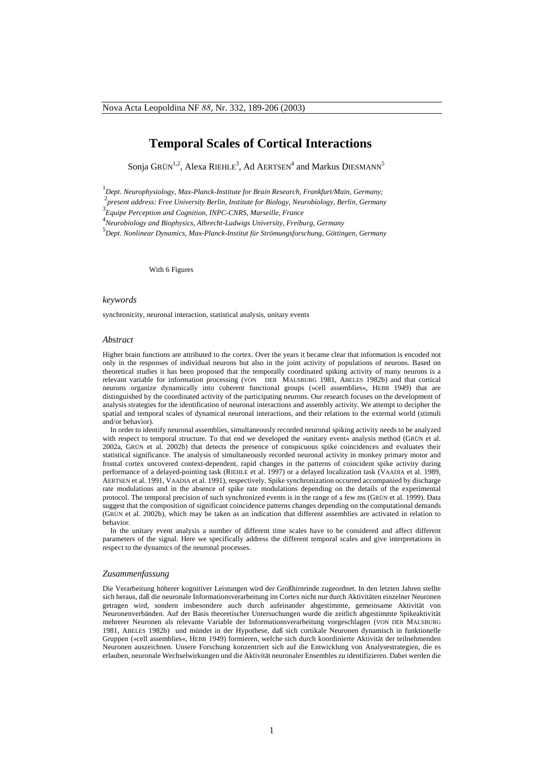# **Temporal Scales of Cortical Interactions**

Sonja GRÜN<sup>1,2</sup>, Alexa RIEHLE<sup>3</sup>, Ad AERTSEN<sup>4</sup> and Markus DIESMANN<sup>5</sup>

1 *Dept. Neurophysiology, Max-Planck-Institute for Brain Research, Frankfurt/Main, Germany;*

2 *present address: Free University Berlin, Institute for Biology, Neurobiology, Berlin, Germany*

3 *Equipe Perception and Cognition, INPC-CNRS, Marseille, France*

4 *Neurobiology and Biophysics, Albrecht-Ludwigs University, Freiburg, Germany*

5 *Dept. Nonlinear Dynamics, Max-Planck-Institut für Strömungsforschung, Göttingen, Germany*

With 6 Figures

### *keywords*

synchronicity, neuronal interaction, statistical analysis, unitary events

#### *Abstract*

Higher brain functions are attributed to the cortex. Over the years it became clear that information is encoded not only in the responses of individual neurons but also in the joint activity of populations of neurons. Based on theoretical studies it has been proposed that the temporally coordinated spiking activity of many neurons is a relevant variable for information processing (VON DER MALSBURG 1981, ABELES 1982b) and that cortical neurons organize dynamically into coherent functional groups (»cell assemblies«, HEBB 1949) that are distinguished by the coordinated activity of the participating neurons. Our research focuses on the development of analysis strategies for the identification of neuronal interactions and assembly activity. We attempt to decipher the spatial and temporal scales of dynamical neuronal interactions, and their relations to the external world (stimuli and/or behavior).

In order to identify neuronal assemblies, simultaneously recorded neuronal spiking activity needs to be analyzed with respect to temporal structure. To that end we developed the »unitary event« analysis method (GRÜN et al. 2002a, GRÜN et al. 2002b) that detects the presence of conspicuous spike coincidences and evaluates their statistical significance. The analysis of simultaneously recorded neuronal activity in monkey primary motor and frontal cortex uncovered context-dependent, rapid changes in the patterns of coincident spike activity during performance of a delayed-pointing task (RIEHLE et al. 1997) or a delayed localization task (VAADIA et al. 1989, AERTSEN et al. 1991, VAADIA et al. 1991), respectively. Spike synchronization occurred accompanied by discharge rate modulations and in the absence of spike rate modulations depending on the details of the experimental protocol. The temporal precision of such synchronized events is in the range of a few ms (GRÜN et al. 1999). Data suggest that the composition of significant coincidence patterns changes depending on the computational demands (GRÜN et al. 2002b), which may be taken as an indication that different assemblies are activated in relation to behavior.

In the unitary event analysis a number of different time scales have to be considered and affect different parameters of the signal. Here we specifically address the different temporal scales and give interpretations in respect to the dynamics of the neuronal processes.

# *Zusammenfassung*

Die Verarbeitung höherer kognitiver Leistungen wird der Großhirnrinde zugeordnet. In den letzten Jahren stellte sich heraus, daß die neuronale Informationsverarbeitung im Cortex nicht nur durch Aktivitäten einzelner Neuronen getragen wird, sondern insbesondere auch durch aufeinander abgestimmte, gemeinsame Aktivität von Neuronenverbänden. Auf der Basis theoretischer Untersuchungen wurde die zeitlich abgestimmte Spikeaktivität mehrerer Neuronen als relevante Variable der Informationsverarbeitung vorgeschlagen (VON DER MALSBURG 1981, ABELES 1982b) und mündet in der Hypothese, daß sich cortikale Neuronen dynamisch in funktionelle Gruppen (»cell assemblies«, HEBB 1949) formieren, welche sich durch koordinierte Aktivität der teilnehmenden Neuronen auszeichnen. Unsere Forschung konzentriert sich auf die Entwicklung von Analysestrategien, die es erlauben, neuronale Wechselwirkungen und die Aktivität neuronaler Ensembles zu identifizieren. Dabei werden die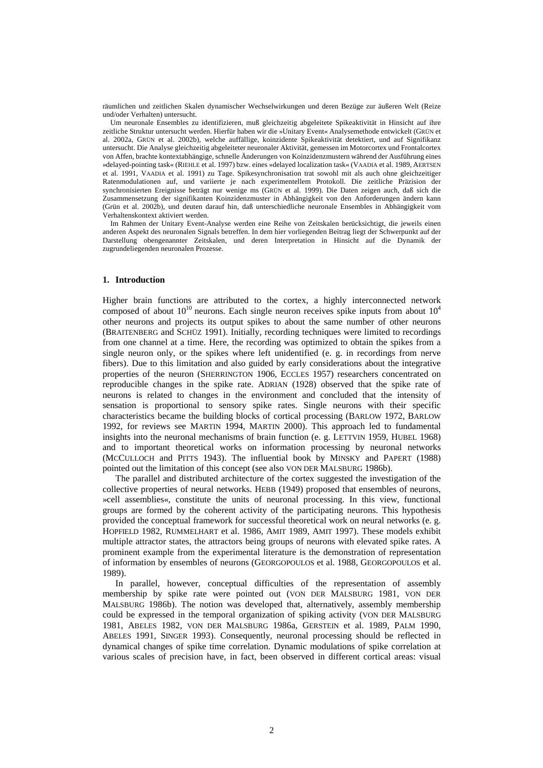räumlichen und zeitlichen Skalen dynamischer Wechselwirkungen und deren Bezüge zur äußeren Welt (Reize und/oder Verhalten) untersucht.

Um neuronale Ensembles zu identifizieren, muß gleichzeitig abgeleitete Spikeaktivität in Hinsicht auf ihre zeitliche Struktur untersucht werden. Hierfür haben wir die »Unitary Event« Analysemethode entwickelt (GRÜN et al. 2002a, GRÜN et al. 2002b), welche auffällige, koinzidente Spikeaktivität detektiert, und auf Signifikanz untersucht. Die Analyse gleichzeitig abgeleiteter neuronaler Aktivität, gemessen im Motorcortex und Frontalcortex von Affen, brachte kontextabhängige, schnelle Änderungen von Koinzidenzmustern während der Ausführung eines »delayed-pointing task« (RIEHLE et al. 1997) bzw. eines »delayed localization task« (VAADIA et al. 1989, AERTSEN et al. 1991, VAADIA et al. 1991) zu Tage. Spikesynchronisation trat sowohl mit als auch ohne gleichzeitiger Ratenmodulationen auf, und variierte je nach experimentellem Protokoll. Die zeitliche Präzision der synchronisierten Ereignisse beträgt nur wenige ms (GRÜN et al. 1999). Die Daten zeigen auch, daß sich die Zusammensetzung der signifikanten Koinzidenzmuster in Abhängigkeit von den Anforderungen ändern kann (Grün et al. 2002b), und deuten darauf hin, daß unterschiedliche neuronale Ensembles in Abhängigkeit vom Verhaltenskontext aktiviert werden.

Im Rahmen der Unitary Event-Analyse werden eine Reihe von Zeitskalen berücksichtigt, die jeweils einen anderen Aspekt des neuronalen Signals betreffen. In dem hier vorliegenden Beitrag liegt der Schwerpunkt auf der Darstellung obengenannter Zeitskalen, und deren Interpretation in Hinsicht auf die Dynamik der zugrundeliegenden neuronalen Prozesse.

### **1. Introduction**

Higher brain functions are attributed to the cortex, a highly interconnected network composed of about  $10^{10}$  neurons. Each single neuron receives spike inputs from about  $10^4$ other neurons and projects its output spikes to about the same number of other neurons (BRAITENBERG and SCHÜZ 1991). Initially, recording techniques were limited to recordings from one channel at a time. Here, the recording was optimized to obtain the spikes from a single neuron only, or the spikes where left unidentified (e. g. in recordings from nerve fibers). Due to this limitation and also guided by early considerations about the integrative properties of the neuron (SHERRINGTON 1906, ECCLES 1957) researchers concentrated on reproducible changes in the spike rate. ADRIAN (1928) observed that the spike rate of neurons is related to changes in the environment and concluded that the intensity of sensation is proportional to sensory spike rates. Single neurons with their specific characteristics became the building blocks of cortical processing (BARLOW 1972, BARLOW 1992, for reviews see MARTIN 1994, MARTIN 2000). This approach led to fundamental insights into the neuronal mechanisms of brain function (e. g. LETTVIN 1959, HUBEL 1968) and to important theoretical works on information processing by neuronal networks (MCCULLOCH and PITTS 1943). The influential book by MINSKY and PAPERT (1988) pointed out the limitation of this concept (see also VON DER MALSBURG 1986b).

The parallel and distributed architecture of the cortex suggested the investigation of the collective properties of neural networks. HEBB (1949) proposed that ensembles of neurons, »cell assemblies«, constitute the units of neuronal processing. In this view, functional groups are formed by the coherent activity of the participating neurons. This hypothesis provided the conceptual framework for successful theoretical work on neural networks (e. g. HOPFIELD 1982, RUMMELHART et al. 1986, AMIT 1989, AMIT 1997). These models exhibit multiple attractor states, the attractors being groups of neurons with elevated spike rates. A prominent example from the experimental literature is the demonstration of representation of information by ensembles of neurons (GEORGOPOULOS et al. 1988, GEORGOPOULOS et al. 1989).

In parallel, however, conceptual difficulties of the representation of assembly membership by spike rate were pointed out (VON DER MALSBURG 1981, VON DER MALSBURG 1986b). The notion was developed that, alternatively, assembly membership could be expressed in the temporal organization of spiking activity (VON DER MALSBURG 1981, ABELES 1982, VON DER MALSBURG 1986a, GERSTEIN et al. 1989, PALM 1990, ABELES 1991, SINGER 1993). Consequently, neuronal processing should be reflected in dynamical changes of spike time correlation. Dynamic modulations of spike correlation at various scales of precision have, in fact, been observed in different cortical areas: visual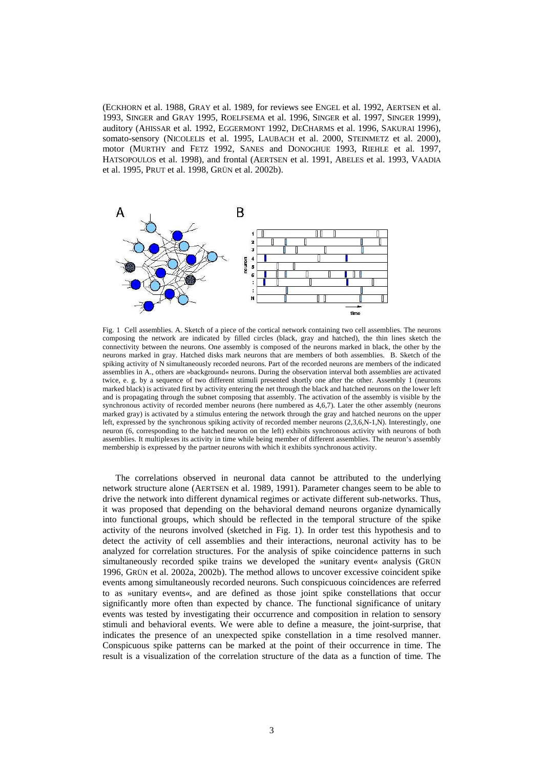(ECKHORN et al. 1988, GRAY et al. 1989, for reviews see ENGEL et al. 1992, AERTSEN et al. 1993, SINGER and GRAY 1995, ROELFSEMA et al. 1996, SINGER et al. 1997, SINGER 1999), auditory (AHISSAR et al. 1992, EGGERMONT 1992, DECHARMS et al. 1996, SAKURAI 1996), somato-sensory (NICOLELIS et al. 1995, LAUBACH et al. 2000, STEINMETZ et al. 2000), motor (MURTHY and FETZ 1992, SANES and DONOGHUE 1993, RIEHLE et al. 1997, HATSOPOULOS et al. 1998), and frontal (AERTSEN et al. 1991, ABELES et al. 1993, VAADIA et al. 1995, PRUT et al. 1998, GRÜN et al. 2002b).



Fig. 1 Cell assemblies. A. Sketch of a piece of the cortical network containing two cell assemblies. The neurons composing the network are indicated by filled circles (black, gray and hatched), the thin lines sketch the connectivity between the neurons. One assembly is composed of the neurons marked in black, the other by the neurons marked in gray. Hatched disks mark neurons that are members of both assemblies. B. Sketch of the spiking activity of N simultaneously recorded neurons. Part of the recorded neurons are members of the indicated assemblies in A., others are »background« neurons. During the observation interval both assemblies are activated twice, e. g. by a sequence of two different stimuli presented shortly one after the other. Assembly 1 (neurons marked black) is activated first by activity entering the net through the black and hatched neurons on the lower left and is propagating through the subnet composing that assembly. The activation of the assembly is visible by the synchronous activity of recorded member neurons (here numbered as 4,6,7). Later the other assembly (neurons marked gray) is activated by a stimulus entering the network through the gray and hatched neurons on the upper left, expressed by the synchronous spiking activity of recorded member neurons (2,3,6,N-1,N). Interestingly, one neuron (6, corresponding to the hatched neuron on the left) exhibits synchronous activity with neurons of both assemblies. It multiplexes its activity in time while being member of different assemblies. The neuron's assembly membership is expressed by the partner neurons with which it exhibits synchronous activity.

The correlations observed in neuronal data cannot be attributed to the underlying network structure alone (AERTSEN et al. 1989, 1991). Parameter changes seem to be able to drive the network into different dynamical regimes or activate different sub-networks. Thus, it was proposed that depending on the behavioral demand neurons organize dynamically into functional groups, which should be reflected in the temporal structure of the spike activity of the neurons involved (sketched in Fig. 1). In order test this hypothesis and to detect the activity of cell assemblies and their interactions, neuronal activity has to be analyzed for correlation structures. For the analysis of spike coincidence patterns in such simultaneously recorded spike trains we developed the »unitary event« analysis (GRÜN 1996, GRÜN et al. 2002a, 2002b). The method allows to uncover excessive coincident spike events among simultaneously recorded neurons. Such conspicuous coincidences are referred to as »unitary events«, and are defined as those joint spike constellations that occur significantly more often than expected by chance. The functional significance of unitary events was tested by investigating their occurrence and composition in relation to sensory stimuli and behavioral events. We were able to define a measure, the joint-surprise, that indicates the presence of an unexpected spike constellation in a time resolved manner. Conspicuous spike patterns can be marked at the point of their occurrence in time. The result is a visualization of the correlation structure of the data as a function of time. The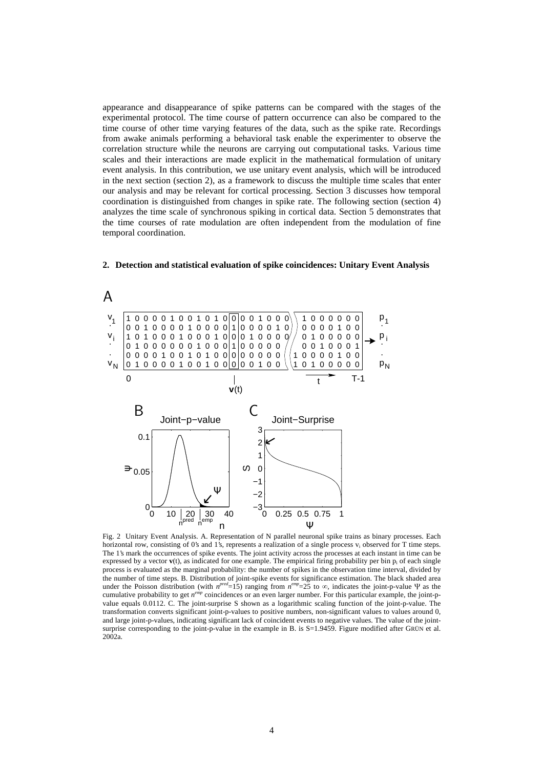appearance and disappearance of spike patterns can be compared with the stages of the experimental protocol. The time course of pattern occurrence can also be compared to the time course of other time varying features of the data, such as the spike rate. Recordings from awake animals performing a behavioral task enable the experimenter to observe the correlation structure while the neurons are carrying out computational tasks. Various time scales and their interactions are made explicit in the mathematical formulation of unitary event analysis. In this contribution, we use unitary event analysis, which will be introduced in the next section (section 2), as a framework to discuss the multiple time scales that enter our analysis and may be relevant for cortical processing. Section 3 discusses how temporal coordination is distinguished from changes in spike rate. The following section (section 4) analyzes the time scale of synchronous spiking in cortical data. Section 5 demonstrates that the time courses of rate modulation are often independent from the modulation of fine temporal coordination.



**2. Detection and statistical evaluation of spike coincidences: Unitary Event Analysis**

Fig. 2 Unitary Event Analysis. A. Representation of N parallel neuronal spike trains as binary processes. Each horizontal row, consisting of 0's and 1's, represents a realization of a single process  $v_i$  observed for T time steps. The 1's mark the occurrences of spike events. The joint activity across the processes at each instant in time can be expressed by a vector **v**(t), as indicated for one example. The empirical firing probability per bin p<sub>i</sub> of each single process is evaluated as the marginal probability: the number of spikes in the observation time interval, divided by the number of time steps. B. Distribution of joint-spike events for significance estimation. The black shaded area under the Poisson distribution (with  $n^{pred} = 15$ ) ranging from  $n^{emp} = 25$  to  $\infty$ , indicates the joint-p-value  $\Psi$  as the cumulative probability to get *n*<sup>emp</sup> coincidences or an even larger number. For this particular example, the joint-pvalue equals 0.0112. C. The joint-surprise S shown as a logarithmic scaling function of the joint-p-value. The transformation converts significant joint-p-values to positive numbers, non-significant values to values around 0, and large joint-p-values, indicating significant lack of coincident events to negative values. The value of the jointsurprise corresponding to the joint-p-value in the example in B. is S=1.9459. Figure modified after GRÜN et al. 2002a.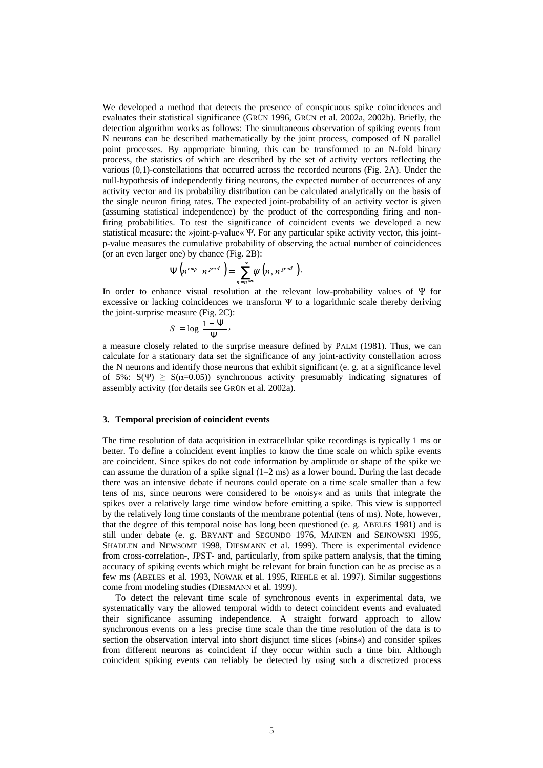We developed a method that detects the presence of conspicuous spike coincidences and evaluates their statistical significance (GRÜN 1996, GRÜN et al. 2002a, 2002b). Briefly, the detection algorithm works as follows: The simultaneous observation of spiking events from N neurons can be described mathematically by the joint process, composed of N parallel point processes. By appropriate binning, this can be transformed to an N-fold binary process, the statistics of which are described by the set of activity vectors reflecting the various (0,1)-constellations that occurred across the recorded neurons (Fig. 2A). Under the null-hypothesis of independently firing neurons, the expected number of occurrences of any activity vector and its probability distribution can be calculated analytically on the basis of the single neuron firing rates. The expected joint-probability of an activity vector is given (assuming statistical independence) by the product of the corresponding firing and nonfiring probabilities. To test the significance of coincident events we developed a new statistical measure: the  $\psi$ joint-p-value  $\Psi$ . For any particular spike activity vector, this jointp-value measures the cumulative probability of observing the actual number of coincidences (or an even larger one) by chance (Fig. 2B):

$$
\Psi\left(n^{emp}\left|n^{pred}\right.\right)=\sum_{n=n^{emp}}^{\infty}\psi\left(n,n^{pred}\right).
$$

In order to enhance visual resolution at the relevant low-probability values of  $\Psi$  for excessive or lacking coincidences we transform  $\Psi$  to a logarithmic scale thereby deriving the joint-surprise measure (Fig. 2C):

$$
S = \log \frac{1 - \Psi}{\Psi},
$$

a measure closely related to the surprise measure defined by PALM (1981). Thus, we can calculate for a stationary data set the significance of any joint-activity constellation across the N neurons and identify those neurons that exhibit significant (e. g. at a significance level of 5%:  $S(\Psi) \geq S(\alpha=0.05)$  synchronous activity presumably indicating signatures of assembly activity (for details see GRÜN et al. 2002a).

# **3. Temporal precision of coincident events**

The time resolution of data acquisition in extracellular spike recordings is typically 1 ms or better. To define a coincident event implies to know the time scale on which spike events are coincident. Since spikes do not code information by amplitude or shape of the spike we can assume the duration of a spike signal (1–2 ms) as a lower bound. During the last decade there was an intensive debate if neurons could operate on a time scale smaller than a few tens of ms, since neurons were considered to be »noisy« and as units that integrate the spikes over a relatively large time window before emitting a spike. This view is supported by the relatively long time constants of the membrane potential (tens of ms). Note, however, that the degree of this temporal noise has long been questioned (e. g. ABELES 1981) and is still under debate (e. g. BRYANT and SEGUNDO 1976, MAINEN and SEJNOWSKI 1995, SHADLEN and NEWSOME 1998, DIESMANN et al. 1999). There is experimental evidence from cross-correlation-, JPST- and, particularly, from spike pattern analysis, that the timing accuracy of spiking events which might be relevant for brain function can be as precise as a few ms (ABELES et al. 1993, NOWAK et al. 1995, RIEHLE et al. 1997). Similar suggestions come from modeling studies (DIESMANN et al. 1999).

To detect the relevant time scale of synchronous events in experimental data, we systematically vary the allowed temporal width to detect coincident events and evaluated their significance assuming independence. A straight forward approach to allow synchronous events on a less precise time scale than the time resolution of the data is to section the observation interval into short disjunct time slices (»bins«) and consider spikes from different neurons as coincident if they occur within such a time bin. Although coincident spiking events can reliably be detected by using such a discretized process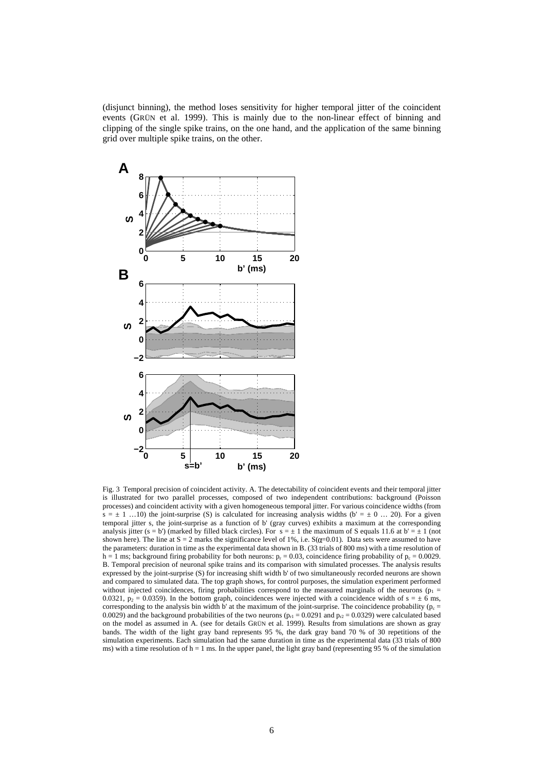(disjunct binning), the method loses sensitivity for higher temporal jitter of the coincident events (GRÜN et al. 1999). This is mainly due to the non-linear effect of binning and clipping of the single spike trains, on the one hand, and the application of the same binning grid over multiple spike trains, on the other.



Fig. 3 Temporal precision of coincident activity. A. The detectability of coincident events and their temporal jitter is illustrated for two parallel processes, composed of two independent contributions: background (Poisson processes) and coincident activity with a given homogeneous temporal jitter. For various coincidence widths (from  $s = \pm 1$  ...10) the joint-surprise (S) is calculated for increasing analysis widths (b' =  $\pm$  0 ... 20). For a given temporal jitter s, the joint-surprise as a function of b'(gray curves) exhibits a maximum at the corresponding analysis jitter (s = b') (marked by filled black circles). For  $s = \pm 1$  the maximum of S equals 11.6 at b' =  $\pm 1$  (not shown here). The line at  $S = 2$  marks the significance level of 1%, i.e.  $S(q=0.01)$ . Data sets were assumed to have the parameters: duration in time as the experimental data shown in B. (33 trials of 800 ms) with a time resolution of h = 1 ms; background firing probability for both neurons:  $p_r = 0.03$ , coincidence firing probability of  $p_c = 0.0029$ . B. Temporal precision of neuronal spike trains and its comparison with simulated processes. The analysis results expressed by the joint-surprise (S) for increasing shift width b'of two simultaneously recorded neurons are shown and compared to simulated data. The top graph shows, for control purposes, the simulation experiment performed without injected coincidences, firing probabilities correspond to the measured marginals of the neurons ( $p_1$  = 0.0321,  $p_2 = 0.0359$ ). In the bottom graph, coincidences were injected with a coincidence width of  $s = \pm 6$  ms, corresponding to the analysis bin width b' at the maximum of the joint-surprise. The coincidence probability ( $p_c$  = 0.0029) and the background probabilities of the two neurons ( $p_{r1} = 0.0291$  and  $p_{r2} = 0.0329$ ) were calculated based on the model as assumed in A. (see for details GRÜN et al. 1999). Results from simulations are shown as gray bands. The width of the light gray band represents 95 %, the dark gray band 70 % of 30 repetitions of the simulation experiments. Each simulation had the same duration in time as the experimental data (33 trials of 800 ms) with a time resolution of  $h = 1$  ms. In the upper panel, the light gray band (representing 95 % of the simulation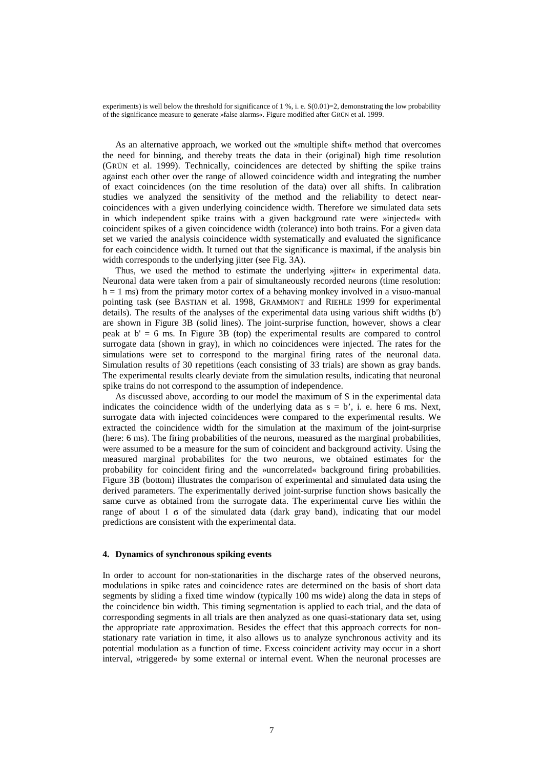experiments) is well below the threshold for significance of  $1\%$ , i. e.  $S(0.01)=2$ , demonstrating the low probability of the significance measure to generate »false alarms«. Figure modified after GRÜN et al. 1999.

As an alternative approach, we worked out the »multiple shift« method that overcomes the need for binning, and thereby treats the data in their (original) high time resolution (GRÜN et al. 1999). Technically, coincidences are detected by shifting the spike trains against each other over the range of allowed coincidence width and integrating the number of exact coincidences (on the time resolution of the data) over all shifts. In calibration studies we analyzed the sensitivity of the method and the reliability to detect nearcoincidences with a given underlying coincidence width. Therefore we simulated data sets in which independent spike trains with a given background rate were »injected« with coincident spikes of a given coincidence width (tolerance) into both trains. For a given data set we varied the analysis coincidence width systematically and evaluated the significance for each coincidence width. It turned out that the significance is maximal, if the analysis bin width corresponds to the underlying jitter (see Fig. 3A).

Thus, we used the method to estimate the underlying »jitter« in experimental data. Neuronal data were taken from a pair of simultaneously recorded neurons (time resolution:  $h = 1$  ms) from the primary motor cortex of a behaving monkey involved in a visuo-manual pointing task (see BASTIAN et al. 1998, GRAMMONT and RIEHLE 1999 for experimental details). The results of the analyses of the experimental data using various shift widths (b') are shown in Figure 3B (solid lines). The joint-surprise function, however, shows a clear peak at  $b' = 6$  ms. In Figure 3B (top) the experimental results are compared to control surrogate data (shown in gray), in which no coincidences were injected. The rates for the simulations were set to correspond to the marginal firing rates of the neuronal data. Simulation results of 30 repetitions (each consisting of 33 trials) are shown as gray bands. The experimental results clearly deviate from the simulation results, indicating that neuronal spike trains do not correspond to the assumption of independence.

As discussed above, according to our model the maximum of S in the experimental data indicates the coincidence width of the underlying data as  $s = b'$ , i. e. here 6 ms. Next, surrogate data with injected coincidences were compared to the experimental results. We extracted the coincidence width for the simulation at the maximum of the joint-surprise (here: 6 ms). The firing probabilities of the neurons, measured as the marginal probabilities, were assumed to be a measure for the sum of coincident and background activity. Using the measured marginal probabilites for the two neurons, we obtained estimates for the probability for coincident firing and the »uncorrelated« background firing probabilities. Figure 3B (bottom) illustrates the comparison of experimental and simulated data using the derived parameters. The experimentally derived joint-surprise function shows basically the same curve as obtained from the surrogate data. The experimental curve lies within the range of about  $1 \sigma$  of the simulated data (dark gray band), indicating that our model predictions are consistent with the experimental data.

# **4. Dynamics of synchronous spiking events**

In order to account for non-stationarities in the discharge rates of the observed neurons, modulations in spike rates and coincidence rates are determined on the basis of short data segments by sliding a fixed time window (typically 100 ms wide) along the data in steps of the coincidence bin width. This timing segmentation is applied to each trial, and the data of corresponding segments in all trials are then analyzed as one quasi-stationary data set, using the appropriate rate approximation. Besides the effect that this approach corrects for nonstationary rate variation in time, it also allows us to analyze synchronous activity and its potential modulation as a function of time. Excess coincident activity may occur in a short interval, »triggered« by some external or internal event. When the neuronal processes are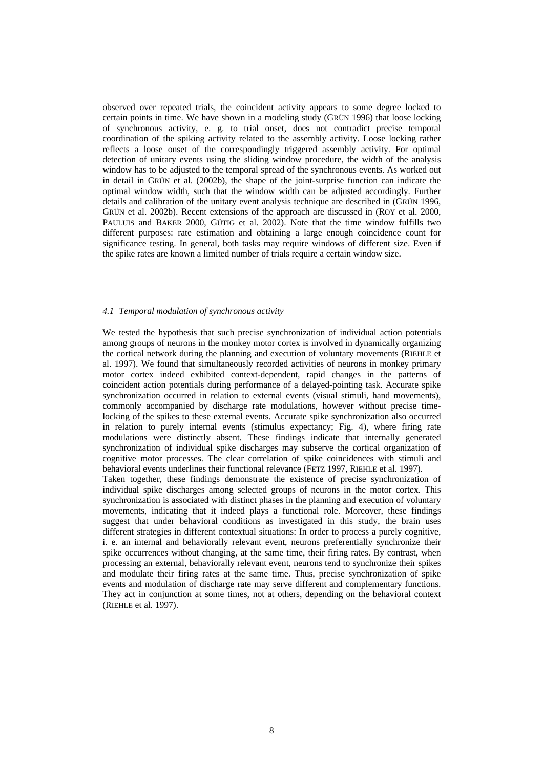observed over repeated trials, the coincident activity appears to some degree locked to certain points in time. We have shown in a modeling study (GRÜN 1996) that loose locking of synchronous activity, e. g. to trial onset, does not contradict precise temporal coordination of the spiking activity related to the assembly activity. Loose locking rather reflects a loose onset of the correspondingly triggered assembly activity. For optimal detection of unitary events using the sliding window procedure, the width of the analysis window has to be adjusted to the temporal spread of the synchronous events. As worked out in detail in GRÜN et al. (2002b), the shape of the joint-surprise function can indicate the optimal window width, such that the window width can be adjusted accordingly. Further details and calibration of the unitary event analysis technique are described in (GRÜN 1996, GRÜN et al. 2002b). Recent extensions of the approach are discussed in (ROY et al. 2000, PAULUIS and BAKER 2000, GÜTIG et al. 2002). Note that the time window fulfills two different purposes: rate estimation and obtaining a large enough coincidence count for significance testing. In general, both tasks may require windows of different size. Even if the spike rates are known a limited number of trials require a certain window size.

#### *4.1 Temporal modulation of synchronous activity*

We tested the hypothesis that such precise synchronization of individual action potentials among groups of neurons in the monkey motor cortex is involved in dynamically organizing the cortical network during the planning and execution of voluntary movements (RIEHLE et al. 1997). We found that simultaneously recorded activities of neurons in monkey primary motor cortex indeed exhibited context-dependent, rapid changes in the patterns of coincident action potentials during performance of a delayed-pointing task. Accurate spike synchronization occurred in relation to external events (visual stimuli, hand movements), commonly accompanied by discharge rate modulations, however without precise timelocking of the spikes to these external events. Accurate spike synchronization also occurred in relation to purely internal events (stimulus expectancy; Fig. 4), where firing rate modulations were distinctly absent. These findings indicate that internally generated synchronization of individual spike discharges may subserve the cortical organization of cognitive motor processes. The clear correlation of spike coincidences with stimuli and behavioral events underlines their functional relevance (FETZ 1997, RIEHLE et al. 1997). Taken together, these findings demonstrate the existence of precise synchronization of individual spike discharges among selected groups of neurons in the motor cortex. This synchronization is associated with distinct phases in the planning and execution of voluntary movements, indicating that it indeed plays a functional role. Moreover, these findings suggest that under behavioral conditions as investigated in this study, the brain uses different strategies in different contextual situations: In order to process a purely cognitive, i. e. an internal and behaviorally relevant event, neurons preferentially synchronize their spike occurrences without changing, at the same time, their firing rates. By contrast, when processing an external, behaviorally relevant event, neurons tend to synchronize their spikes and modulate their firing rates at the same time. Thus, precise synchronization of spike

events and modulation of discharge rate may serve different and complementary functions. They act in conjunction at some times, not at others, depending on the behavioral context (RIEHLE et al. 1997).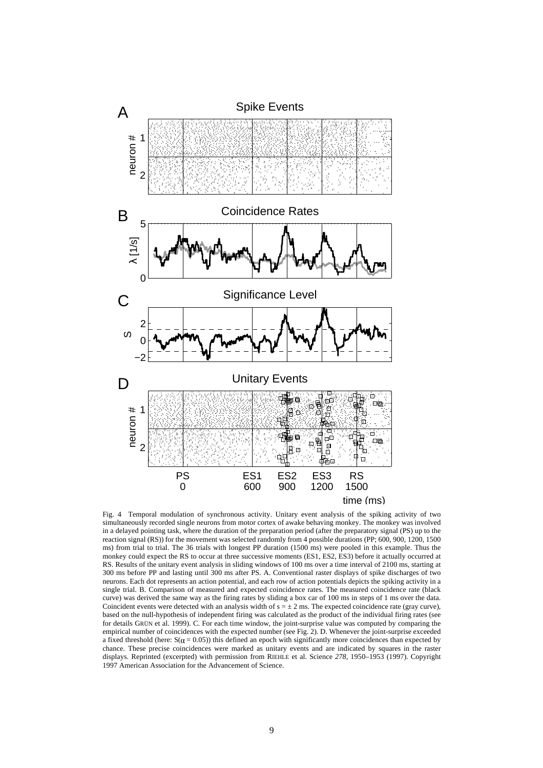

Fig. 4 Temporal modulation of synchronous activity. Unitary event analysis of the spiking activity of two simultaneously recorded single neurons from motor cortex of awake behaving monkey. The monkey was involved in a delayed pointing task, where the duration of the preparation period (after the preparatory signal (PS) up to the reaction signal (RS)) for the movement was selected randomly from 4 possible durations (PP; 600, 900, 1200, 1500 ms) from trial to trial. The 36 trials with longest PP duration (1500 ms) were pooled in this example. Thus the monkey could expect the RS to occur at three successive moments (ES1, ES2, ES3) before it actually occurred at RS. Results of the unitary event analysis in sliding windows of 100 ms over a time interval of 2100 ms, starting at 300 ms before PP and lasting until 300 ms after PS. A. Conventional raster displays of spike discharges of two neurons. Each dot represents an action potential, and each row of action potentials depicts the spiking activity in a single trial. B. Comparison of measured and expected coincidence rates. The measured coincidence rate (black curve) was derived the same way as the firing rates by sliding a box car of 100 ms in steps of 1 ms over the data. Coincident events were detected with an analysis width of  $s = \pm 2$  ms. The expected coincidence rate (gray curve), based on the null-hypothesis of independent firing was calculated as the product of the individual firing rates (see for details GRÜN et al. 1999). C. For each time window, the joint-surprise value was computed by comparing the empirical number of coincidences with the expected number (see Fig. 2). D. Whenever the joint-surprise exceeded a fixed threshold (here:  $S(0 = 0.05)$ ) this defined an epoch with significantly more coincidences than expected by chance. These precise coincidences were marked as unitary events and are indicated by squares in the raster displays. Reprinted (excerpted) with permission from RIEHLE et al. Science *278*, 1950–1953 (1997). Copyright 1997 American Association for the Advancement of Science.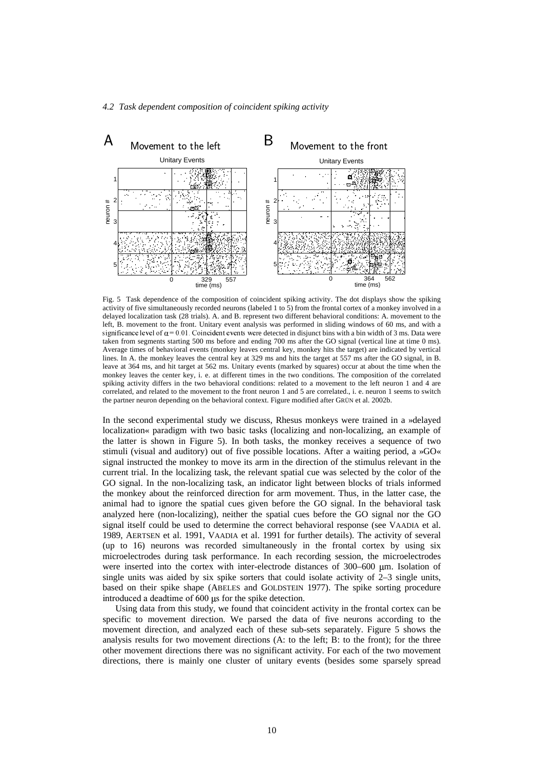# *4.2 Task dependent composition of coincident spiking activity*



Fig. 5 Task dependence of the composition of coincident spiking activity. The dot displays show the spiking activity of five simultaneously recorded neurons (labeled 1 to 5) from the frontal cortex of a monkey involved in a delayed localization task (28 trials). A. and B. represent two different behavioral conditions: A. movement to the left, B. movement to the front. Unitary event analysis was performed in sliding windows of 60 ms, and with a significance level of  $\alpha$  = 0.01. Coincident events were detected in disjunct bins with a bin width of 3 ms. Data were taken from segments starting 500 ms before and ending 700 ms after the GO signal (vertical line at time 0 ms). Average times of behavioral events (monkey leaves central key, monkey hits the target) are indicated by vertical lines. In A. the monkey leaves the central key at 329 ms and hits the target at 557 ms after the GO signal, in B. leave at 364 ms, and hit target at 562 ms. Unitary events (marked by squares) occur at about the time when the monkey leaves the center key, i. e. at different times in the two conditions. The composition of the correlated spiking activity differs in the two behavioral conditions: related to a movement to the left neuron 1 and 4 are correlated, and related to the movement to the front neuron 1 and 5 are correlated., i. e. neuron 1 seems to switch the partner neuron depending on the behavioral context. Figure modified after GRÜN et al. 2002b.

In the second experimental study we discuss, Rhesus monkeys were trained in a »delayed localization« paradigm with two basic tasks (localizing and non-localizing, an example of the latter is shown in Figure 5). In both tasks, the monkey receives a sequence of two stimuli (visual and auditory) out of five possible locations. After a waiting period, a »GO« signal instructed the monkey to move its arm in the direction of the stimulus relevant in the current trial. In the localizing task, the relevant spatial cue was selected by the color of the GO signal. In the non-localizing task, an indicator light between blocks of trials informed the monkey about the reinforced direction for arm movement. Thus, in the latter case, the animal had to ignore the spatial cues given before the GO signal. In the behavioral task analyzed here (non-localizing), neither the spatial cues before the GO signal nor the GO signal itself could be used to determine the correct behavioral response (see VAADIA et al. 1989, AERTSEN et al. 1991, VAADIA et al. 1991 for further details). The activity of several (up to 16) neurons was recorded simultaneously in the frontal cortex by using six microelectrodes during task performance. In each recording session, the microelectrodes were inserted into the cortex with inter-electrode distances of 300–600 µm. Isolation of single units was aided by six spike sorters that could isolate activity of 2–3 single units, based on their spike shape (ABELES and GOLDSTEIN 1977). The spike sorting procedure introduced a deadtime of  $600 \mu s$  for the spike detection.

Using data from this study, we found that coincident activity in the frontal cortex can be specific to movement direction. We parsed the data of five neurons according to the movement direction, and analyzed each of these sub-sets separately. Figure 5 shows the analysis results for two movement directions (A: to the left; B: to the front); for the three other movement directions there was no significant activity. For each of the two movement directions, there is mainly one cluster of unitary events (besides some sparsely spread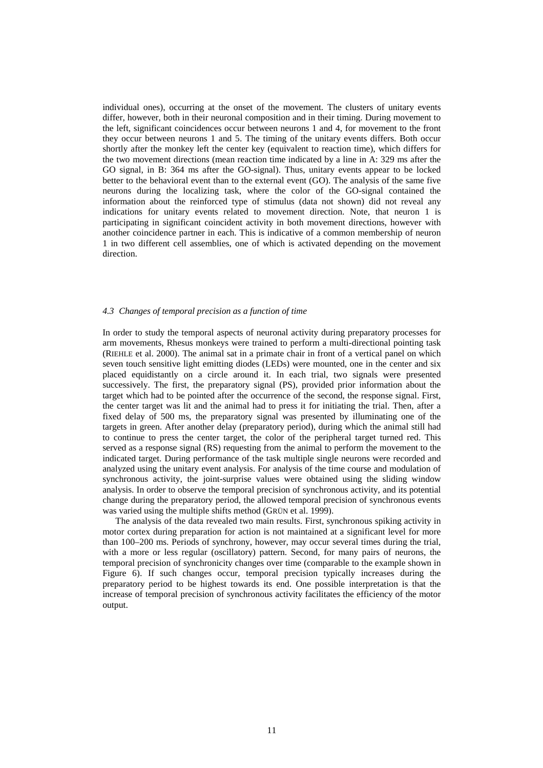individual ones), occurring at the onset of the movement. The clusters of unitary events differ, however, both in their neuronal composition and in their timing. During movement to the left, significant coincidences occur between neurons 1 and 4, for movement to the front they occur between neurons 1 and 5. The timing of the unitary events differs. Both occur shortly after the monkey left the center key (equivalent to reaction time), which differs for the two movement directions (mean reaction time indicated by a line in A: 329 ms after the GO signal, in B: 364 ms after the GO-signal). Thus, unitary events appear to be locked better to the behavioral event than to the external event (GO). The analysis of the same five neurons during the localizing task, where the color of the GO-signal contained the information about the reinforced type of stimulus (data not shown) did not reveal any indications for unitary events related to movement direction. Note, that neuron 1 is participating in significant coincident activity in both movement directions, however with another coincidence partner in each. This is indicative of a common membership of neuron 1 in two different cell assemblies, one of which is activated depending on the movement direction.

#### *4.3 Changes of temporal precision as a function of time*

In order to study the temporal aspects of neuronal activity during preparatory processes for arm movements, Rhesus monkeys were trained to perform a multi-directional pointing task (RIEHLE et al. 2000). The animal sat in a primate chair in front of a vertical panel on which seven touch sensitive light emitting diodes (LEDs) were mounted, one in the center and six placed equidistantly on a circle around it. In each trial, two signals were presented successively. The first, the preparatory signal (PS), provided prior information about the target which had to be pointed after the occurrence of the second, the response signal. First, the center target was lit and the animal had to press it for initiating the trial. Then, after a fixed delay of 500 ms, the preparatory signal was presented by illuminating one of the targets in green. After another delay (preparatory period), during which the animal still had to continue to press the center target, the color of the peripheral target turned red. This served as a response signal (RS) requesting from the animal to perform the movement to the indicated target. During performance of the task multiple single neurons were recorded and analyzed using the unitary event analysis. For analysis of the time course and modulation of synchronous activity, the joint-surprise values were obtained using the sliding window analysis. In order to observe the temporal precision of synchronous activity, and its potential change during the preparatory period, the allowed temporal precision of synchronous events was varied using the multiple shifts method (GRÜN et al. 1999).

The analysis of the data revealed two main results. First, synchronous spiking activity in motor cortex during preparation for action is not maintained at a significant level for more than 100–200 ms. Periods of synchrony, however, may occur several times during the trial, with a more or less regular (oscillatory) pattern. Second, for many pairs of neurons, the temporal precision of synchronicity changes over time (comparable to the example shown in Figure 6). If such changes occur, temporal precision typically increases during the preparatory period to be highest towards its end. One possible interpretation is that the increase of temporal precision of synchronous activity facilitates the efficiency of the motor output.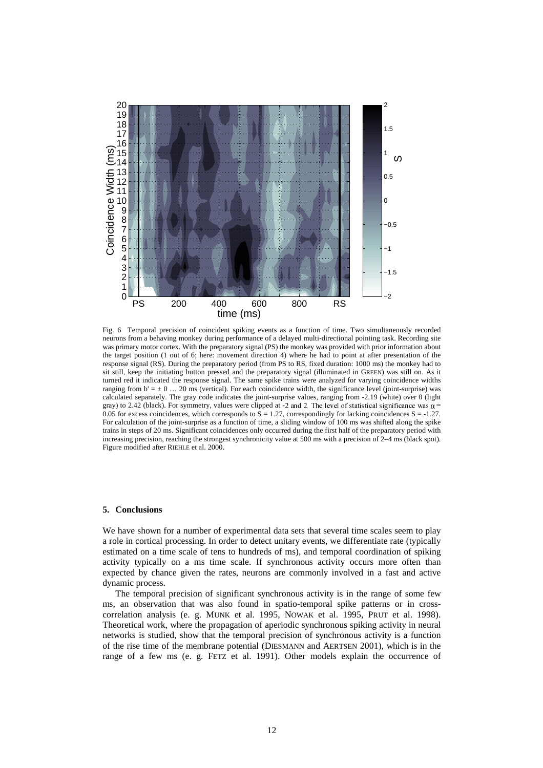

Fig. 6 Temporal precision of coincident spiking events as a function of time. Two simultaneously recorded neurons from a behaving monkey during performance of a delayed multi-directional pointing task. Recording site was primary motor cortex. With the preparatory signal (PS) the monkey was provided with prior information about the target position (1 out of 6; here: movement direction 4) where he had to point at after presentation of the response signal (RS). During the preparatory period (from PS to RS, fixed duration: 1000 ms) the monkey had to sit still, keep the initiating button pressed and the preparatory signal (illuminated in GREEN) was still on. As it turned red it indicated the response signal. The same spike trains were analyzed for varying coincidence widths ranging from  $b' = \pm 0$  ... 20 ms (vertical). For each coincidence width, the significance level (joint-surprise) was calculated separately. The gray code indicates the joint-surprise values, ranging from -2.19 (white) over 0 (light gray) to 2.42 (black). For symmetry, values were clipped at -2 and 2. The level of statistical significance was  $\alpha$  = 0.05 for excess coincidences, which corresponds to  $S = 1.27$ , correspondingly for lacking coincidences  $S = -1.27$ . For calculation of the joint-surprise as a function of time, a sliding window of 100 ms was shifted along the spike trains in steps of 20 ms. Significant coincidences only occurred during the first half of the preparatory period with increasing precision, reaching the strongest synchronicity value at 500 ms with a precision of 2–4 ms (black spot). Figure modified after RIEHLE et al. 2000.

# **5. Conclusions**

We have shown for a number of experimental data sets that several time scales seem to play a role in cortical processing. In order to detect unitary events, we differentiate rate (typically estimated on a time scale of tens to hundreds of ms), and temporal coordination of spiking activity typically on a ms time scale. If synchronous activity occurs more often than expected by chance given the rates, neurons are commonly involved in a fast and active dynamic process.

The temporal precision of significant synchronous activity is in the range of some few ms, an observation that was also found in spatio-temporal spike patterns or in crosscorrelation analysis (e. g. MUNK et al. 1995, NOWAK et al. 1995, PRUT et al. 1998). Theoretical work, where the propagation of aperiodic synchronous spiking activity in neural networks is studied, show that the temporal precision of synchronous activity is a function of the rise time of the membrane potential (DIESMANN and AERTSEN 2001), which is in the range of a few ms (e. g. FETZ et al. 1991). Other models explain the occurrence of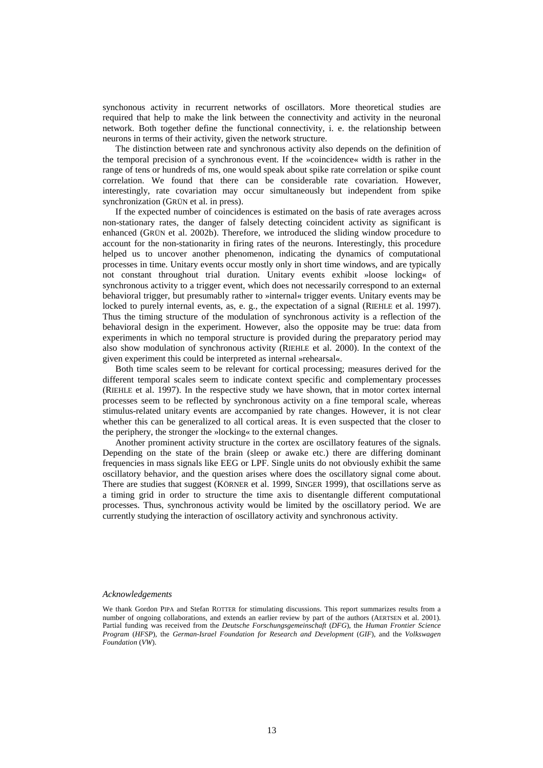synchonous activity in recurrent networks of oscillators. More theoretical studies are required that help to make the link between the connectivity and activity in the neuronal network. Both together define the functional connectivity, i. e. the relationship between neurons in terms of their activity, given the network structure.

The distinction between rate and synchronous activity also depends on the definition of the temporal precision of a synchronous event. If the »coincidence« width is rather in the range of tens or hundreds of ms, one would speak about spike rate correlation or spike count correlation. We found that there can be considerable rate covariation. However, interestingly, rate covariation may occur simultaneously but independent from spike synchronization (GRÜN et al. in press).

If the expected number of coincidences is estimated on the basis of rate averages across non-stationary rates, the danger of falsely detecting coincident activity as significant is enhanced (GRÜN et al. 2002b). Therefore, we introduced the sliding window procedure to account for the non-stationarity in firing rates of the neurons. Interestingly, this procedure helped us to uncover another phenomenon, indicating the dynamics of computational processes in time. Unitary events occur mostly only in short time windows, and are typically not constant throughout trial duration. Unitary events exhibit »loose locking« of synchronous activity to a trigger event, which does not necessarily correspond to an external behavioral trigger, but presumably rather to »internal« trigger events. Unitary events may be locked to purely internal events, as, e. g., the expectation of a signal (RIEHLE et al. 1997). Thus the timing structure of the modulation of synchronous activity is a reflection of the behavioral design in the experiment. However, also the opposite may be true: data from experiments in which no temporal structure is provided during the preparatory period may also show modulation of synchronous activity (RIEHLE et al. 2000). In the context of the given experiment this could be interpreted as internal »rehearsal«.

Both time scales seem to be relevant for cortical processing; measures derived for the different temporal scales seem to indicate context specific and complementary processes (RIEHLE et al. 1997). In the respective study we have shown, that in motor cortex internal processes seem to be reflected by synchronous activity on a fine temporal scale, whereas stimulus-related unitary events are accompanied by rate changes. However, it is not clear whether this can be generalized to all cortical areas. It is even suspected that the closer to the periphery, the stronger the »locking« to the external changes.

Another prominent activity structure in the cortex are oscillatory features of the signals. Depending on the state of the brain (sleep or awake etc.) there are differing dominant frequencies in mass signals like EEG or LPF. Single units do not obviously exhibit the same oscillatory behavior, and the question arises where does the oscillatory signal come about. There are studies that suggest (KÖRNER et al. 1999, SINGER 1999), that oscillations serve as a timing grid in order to structure the time axis to disentangle different computational processes. Thus, synchronous activity would be limited by the oscillatory period. We are currently studying the interaction of oscillatory activity and synchronous activity.

# *Acknowledgements*

We thank Gordon PIPA and Stefan ROTTER for stimulating discussions. This report summarizes results from a number of ongoing collaborations, and extends an earlier review by part of the authors (AERTSEN et al. 2001). Partial funding was received from the *Deutsche Forschungsgemeinschaft* (*DFG*), the *Human Frontier Science Program* (*HFSP*), the *German-Israel Foundation for Research and Development* (*GIF*), and the *Volkswagen Foundation* (*VW*).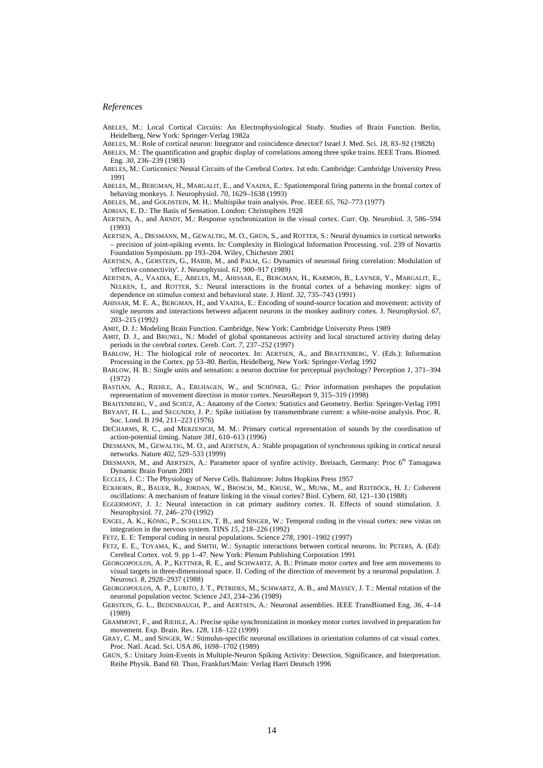#### *References*

- ABELES, M.: Local Cortical Circuits: An Electrophysiological Study. Studies of Brain Function. Berlin, Heidelberg, New York: Springer-Verlag 1982a
- ABELES, M.: Role of cortical neuron: Integrator and coincidence detector? Israel J. Med. Sci. *18*, 83–92 (1982b)
- ABELES, M.: The quantification and graphic display of correlations among three spike trains. IEEE Trans. Biomed. Eng. *30*, 236–239 (1983)
- ABELES, M.: Corticonics: Neural Circuits of the Cerebral Cortex. 1st edn. Cambridge: Cambridge University Press 1991
- ABELES, M., BERGMAN, H., MARGALIT, E., and VAADIA, E.: Spatiotemporal firing patterns in the frontal cortex of behaving monkeys. J. Neurophysiol. *70*, 1629–1638 (1993)
- ABELES, M., and GOLDSTEIN, M. H.: Multispike train analysis. Proc. IEEE *65*, 762–773 (1977)
- ADRIAN, E. D.: The Basis of Sensation. London: Christophers 1928
- AERTSEN, A., and ARNDT, M.: Response synchronization in the visual cortex. Curr. Op. Neurobiol. *3*, 586–594 (1993)
- AERTSEN, A., DIESMANN, M., GEWALTIG, M. O., GRÜN, S., and ROTTER, S.: Neural dynamics in cortical networks – precision of joint-spiking events. In: Complexity in Biological Information Processing. vol. 239 of Novartis Foundation Symposium. pp 193–204. Wiley, Chichester 2001
- AERTSEN, A., GERSTEIN, G., HABIB, M., and PALM, G.: Dynamics of neuronal firing correlation: Modulation of 'effective connectivity'. J. Neurophysiol. *61*, 900–917 (1989)
- AERTSEN, A., VAADIA, E., ABELES, M., AHISSAR, E., BERGMAN, H., KARMON, B., LAVNER, Y., MARGALIT, E., NELKEN, I., and ROTTER, S.: Neural interactions in the frontal cortex of a behaving monkey: signs of dependence on stimulus context and behavioral state. J. Hirnf. *32*, 735–743 (1991)
- AHISSAR, M. E. A., BERGMAN, H., and VAADIA, E.: Encoding of sound-source location and movement: activity of single neurons and interactions between adjacent neurons in the monkey auditory cortex. J. Neurophysiol. *67*, 203–215 (1992)
- AMIT, D. J.: Modeling Brain Function. Cambridge, New York: Cambridge University Press 1989
- AMIT, D. J., and BRUNEL, N.: Model of global spontaneous activity and local structured activity during delay periods in the cerebral cortex. Cereb. Cort. *7*, 237–252 (1997)

BARLOW, H.: The biological role of neocortex. In: AERTSEN, A., and BRAITENBERG, V. (Eds.): Information Processing in the Cortex. pp 53–80. Berlin, Heidelberg, New York: Springer-Verlag 1992

- BARLOW, H. B.: Single units and sensation: a neuron doctrine for perceptual psychology? Perception *1*, 371–394 (1972)
- BASTIAN, A., RIEHLE, A., ERLHAGEN, W., and SCHÖNER, G.: Prior information preshapes the population representation of movement direction in motor cortex. NeuroReport *9*, 315–319 (1998)
- BRAITENBERG, V., and SCHÜZ, A.: Anatomy of the Cortex: Statistics and Geometry. Berlin: Springer-Verlag 1991 BRYANT, H. L., and SEGUNDO, J. P.: Spike initiation by transmembrane current: a white-noise analysis. Proc. R. Soc. Lond. B *194*, 211–223 (1976)
- DECHARMS, R. C., and MERZENICH, M. M.: Primary cortical representation of sounds by the coordination of action-potential timing. Nature *381*, 610–613 (1996)
- DIESMANN, M., GEWALTIG, M. O., and AERTSEN, A.: Stable propagation of synchronous spiking in cortical neural networks. Nature *402*, 529–533 (1999)
- DIESMANN, M., and AERTSEN, A.: Parameter space of synfire activity. Breisach, Germany: Proc 6<sup>th</sup> Tamagawa Dynamic Brain Forum 2001
- ECCLES, J. C.: The Physiology of Nerve Cells. Baltimore: Johns Hopkins Press 1957
- ECKHORN, R., BAUER, R., JORDAN, W., BROSCH, M., KRUSE, W., MUNK, M., and REITBÖCK, H. J.: Coherent oscillations: A mechanism of feature linking in the visual cortex? Biol. Cybern. *60*, 121–130 (1988)
- EGGERMONT, J. J.: Neural interaction in cat primary auditory cortex. II. Effects of sound stimulation. J. Neurophysiol. *71*, 246–270 (1992)
- ENGEL, A. K., KÖNIG, P., SCHILLEN, T. B., and SINGER, W.: Temporal coding in the visual cortex: new vistas on integration in the nervous system. TINS *15*, 218–226 (1992)

FETZ, E. E: Temporal coding in neural populations. Science *278*, 1901–1902 (1997)

- FETZ, E. E., TOYAMA, K., and SMITH, W.: Synaptic interactions between cortical neurons. In: PETERS, A. (Ed): Cerebral Cortex. vol. 9. pp 1–47. New York: Plenum Publishing Corporation 1991
- GEORGOPOULOS, A. P., KETTNER, R. E., and SCHWARTZ, A. B.: Primate motor cortex and free arm movements to visual targets in three-dimensional space. II. Coding of the direction of movement by a neuronal population. J. Neurosci. *8*, 2928–2937 (1988)

GEORGOPOULOS, A. P., LURITO, J. T., PETRIDES, M., SCHWARTZ, A. B., and MASSEY, J. T.: Mental rotation of the neuronal population vector. Science *243*, 234–236 (1989)

GERSTEIN, G. L., BEDENBAUGH, P., and AERTSEN, A.: Neuronal assemblies. IEEE TransBiomed Eng. *36*, 4–14 (1989)

- GRAMMONT, F., and RIEHLE, A.: Precise spike synchronization in monkey motor cortex involved in preparation for movement. Exp. Brain. Res. *128*, 118–122 (1999)
- GRAY, C. M., and SINGER, W.: Stimulus-specific neuronal oscillations in orientation columns of cat visual cortex. Proc. Natl. Acad. Sci. USA *86*, 1698–1702 (1989)
- GRÜN, S.: Unitary Joint-Events in Multiple-Neuron Spiking Activity: Detection, Significance, and Interpretation. Reihe Physik. Band 60. Thun, Frankfurt/Main: Verlag Harri Deutsch 1996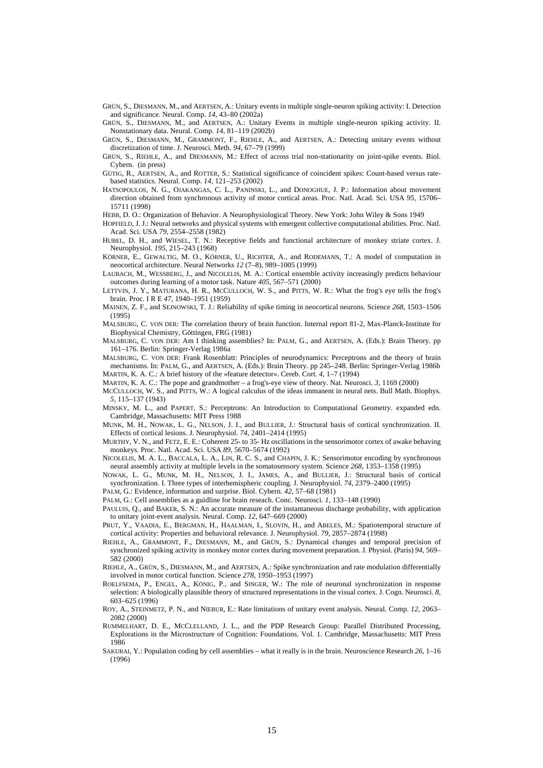GRÜN, S., DIESMANN, M., and AERTSEN, A.: Unitary events in multiple single-neuron spiking activity: I. Detection and significance. Neural. Comp. *14*, 43–80 (2002a)

GRÜN, S., DIESMANN, M., and AERTSEN, A.: Unitary Events in multiple single-neuron spiking activity. II. Nonstationary data. Neural. Comp. *14*, 81–119 (2002b)

GRÜN, S., DIESMANN, M., GRAMMONT, F., RIEHLE, A., and AERTSEN, A.: Detecting unitary events without discretization of time. J. Neurosci. Meth. *94*, 67–79 (1999)

- GRÜN, S., RIEHLE, A., and DIESMANN, M.: Effect of across trial non-stationarity on joint-spike events. Biol. Cybern. (in press)
- GÜTIG, R., AERTSEN, A., and ROTTER, S.: Statistical significance of coincident spikes: Count-based versus ratebased statistics. Neural. Comp. *14*, 121–253 (2002)
- HATSOPOULOS, N. G., OJAKANGAS, C. L., PANINSKI, L., and DONOGHUE, J. P.: Information about movement direction obtained from synchronous activity of motor cortical areas. Proc. Natl. Acad. Sci. USA *95*, 15706– 15711 (1998)
- HEBB, D. O.: Organization of Behavior. A Neurophysiological Theory. New York: John Wiley & Sons 1949
- HOPFIELD, J. J.: Neural networks and physical systems with emergent collective computational abilities. Proc. Natl. Acad. Sci. USA *79*, 2554–2558 (1982)
- HUBEL, D. H., and WIESEL, T. N.: Receptive fields and functional architecture of monkey striate cortex. J. Neurophysiol. *195*, 215–243 (1968)

KÖRNER, E., GEWALTIG, M. O., KÖRNER, U., RICHTER, A., and RODEMANN, T.: A model of computation in neocortical architecture. Neural Networks *12* (7–8), 989–1005 (1999)

LAUBACH, M., WESSBERG, J., and NICOLELIS, M. A.: Cortical ensemble activity increasingly predicts behaviour outcomes during learning of a motor task. Nature *405*, 567–571 (2000)

- LETTVIN, J. Y., MATURANA, H. R., MCCULLOCH, W. S., and PITTS, W. R.: What the frog's eye tells the frog's brain. Proc. I R E *47*, 1940–1951 (1959)
- MAINEN, Z. F., and SEJNOWSKI, T. J.: Reliability of spike timing in neocortical neurons. Science *268*, 1503–1506 (1995)

MALSBURG, C. VON DER: The correlation theory of brain function. Internal report 81-2, Max-Planck-Institute for Biophysical Chemistry, Göttingen, FRG (1981)

MALSBURG, C. VON DER: Am I thinking assemblies? In: PALM, G., and AERTSEN, A. (Eds.): Brain Theory. pp 161–176. Berlin: Springer-Verlag 1986a

MALSBURG, C. VON DER: Frank Rosenblatt: Principles of neurodynamics: Perceptrons and the theory of brain mechanisms. In: PALM, G., and AERTSEN, A. (Eds.): Brain Theory. pp 245–248. Berlin: Springer-Verlag 1986b MARTIN, K. A. C.: A brief history of the »feature detector«. Cereb. Cort. *4*, 1–7 (1994)

MARTIN, K. A. C.: The pope and grandmother – a frog's-eye view of theory. Nat. Neurosci. *3*, 1169 (2000)

MCCULLOCH, W. S., and PITTS, W.: A logical calculus of the ideas immanent in neural nets. Bull Math. Biophys. *5*, 115–137 (1943)

- MINSKY, M. L., and PAPERT, S.: Perceptrons: An Introduction to Computational Geometry. expanded edn. Cambridge, Massachusetts: MIT Press 1988
- MUNK, M. H., NOWAK, L. G., NELSON, J. I., and BULLIER, J.: Structural basis of cortical synchronization. II. Effects of cortical lesions. J. Neurophysiol. *74*, 2401–2414 (1995)

MURTHY, V. N., and FETZ, E. E.: Coherent 25- to 35- Hz oscillations in the sensorimotor cortex of awake behaving monkeys. Proc. Natl. Acad. Sci. USA *89*, 5670–5674 (1992)

NICOLELIS, M. A. L., BACCALA, L. A., LIN, R. C. S., and CHAPIN, J. K.: Sensorimotor encoding by synchronous neural assembly activity at multiple levels in the somatosensory system. Science *268*, 1353–1358 (1995)

NOWAK, L. G., MUNK, M. H., NELSON, J. I., JAMES, A., and BULLIER, J.: Structural basis of cortical synchronization. I. Three types of interhemispheric coupling. J. Neurophysiol. *74*, 2379–2400 (1995)

PALM, G.: Evidence, information and surprise. Biol. Cybern. *42*, 57–68 (1981)

PALM, G.: Cell assemblies as a guidline for brain reseach. Conc. Neurosci. *1*, 133–148 (1990)

PAULUIS, Q., and BAKER, S. N.: An accurate measure of the instantaneous discharge probability, with application to unitary joint-event analysis. Neural. Comp. *12*, 647–669 (2000)

- PRUT, Y., VAADIA, E., BERGMAN, H., HAALMAN, I., SLOVIN, H., and ABELES, M.: Spatiotemporal structure of cortical activity: Properties and behavioral relevance. J. Neurophysiol. *79*, 2857–2874 (1998)
- RIEHLE, A., GRAMMONT, F., DIESMANN, M., and GRÜN, S.: Dynamical changes and temporal precision of synchronized spiking activity in monkey motor cortex during movement preparation. J. Physiol. (Paris) *94*, 569– 582 (2000)
- RIEHLE, A., GRÜN, S., DIESMANN, M., and AERTSEN, A.: Spike synchronization and rate modulation differentially involved in motor cortical function. Science *278*, 1950–1953 (1997)
- ROELFSEMA, P., ENGEL, A., KÖNIG, P., and SINGER, W.: The role of neuronal synchronization in response selection: A biologically plausible theory of structured representations in the visual cortex. J. Cogn. Neurosci. *8*, 603–625 (1996)
- ROY, A., STEINMETZ, P. N., and NIEBUR, E.: Rate limitations of unitary event analysis. Neural. Comp. *12*, 2063– 2082 (2000)
- RUMMELHART, D. E., MCCLELLAND, J. L., and the PDP Research Group: Parallel Distributed Processing, Explorations in the Microstructure of Cognition: Foundations. Vol. 1. Cambridge, Massachusetts: MIT Press 1986
- SAKURAI, Y.: Population coding by cell assemblies what it really is in the brain. Neuroscience Research *26*, 1–16 (1996)